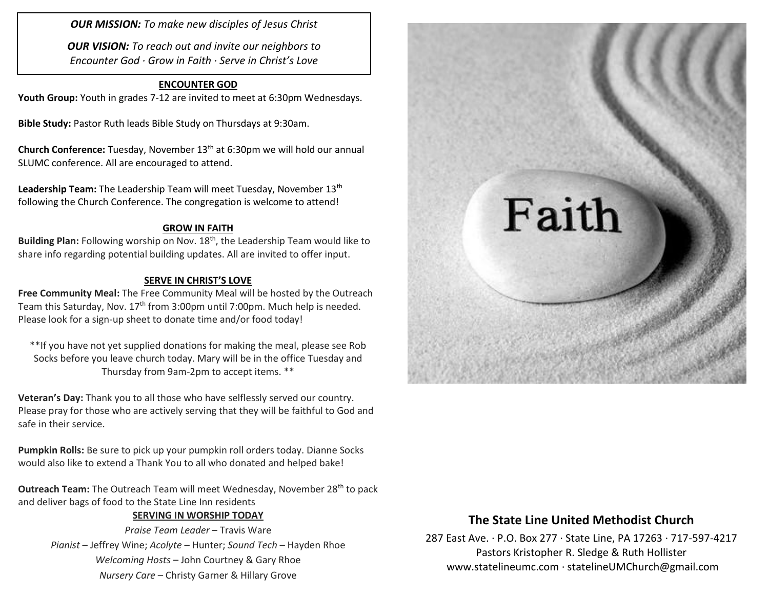*OUR MISSION: To make new disciples of Jesus Christ*

*OUR VISION: To reach out and invite our neighbors to Encounter God · Grow in Faith · Serve in Christ's Love*

## **ENCOUNTER GOD**

**Youth Group:** Youth in grades 7-12 are invited to meet at 6:30pm Wednesdays.

**Bible Study:** Pastor Ruth leads Bible Study on Thursdays at 9:30am.

**Church Conference:** Tuesday, November 13th at 6:30pm we will hold our annual SLUMC conference. All are encouraged to attend.

**Leadership Team:** The Leadership Team will meet Tuesday, November 13th following the Church Conference. The congregation is welcome to attend!

#### **GROW IN FAITH**

Building Plan: Following worship on Nov. 18<sup>th</sup>, the Leadership Team would like to share info regarding potential building updates. All are invited to offer input.

#### **SERVE IN CHRIST'S LOVE**

**Free Community Meal:** The Free Community Meal will be hosted by the Outreach Team this Saturday, Nov. 17<sup>th</sup> from 3:00pm until 7:00pm. Much help is needed. Please look for a sign-up sheet to donate time and/or food today!

\*\*If you have not yet supplied donations for making the meal, please see Rob Socks before you leave church today. Mary will be in the office Tuesday and Thursday from 9am-2pm to accept items. \*\*

**Veteran's Day:** Thank you to all those who have selflessly served our country. Please pray for those who are actively serving that they will be faithful to God and safe in their service.

**Pumpkin Rolls:** Be sure to pick up your pumpkin roll orders today. Dianne Socks would also like to extend a Thank You to all who donated and helped bake!

**Outreach Team:** The Outreach Team will meet Wednesday, November 28<sup>th</sup> to pack and deliver bags of food to the State Line Inn residents

### **SERVING IN WORSHIP TODAY**

*Praise Team Leader* – Travis Ware *Pianist* – Jeffrey Wine; *Acolyte* – Hunter; *Sound Tech* – Hayden Rhoe *Welcoming Hosts* – John Courtney & Gary Rhoe *Nursery Care* – Christy Garner & Hillary Grove



## **The State Line United Methodist Church**

287 East Ave. · P.O. Box 277 · State Line, PA 17263 · 717-597-4217 Pastors Kristopher R. Sledge & Ruth Hollister [www.statelineumc.com](http://www.statelineumc.com/) · statelineUMChurch@gmail.com